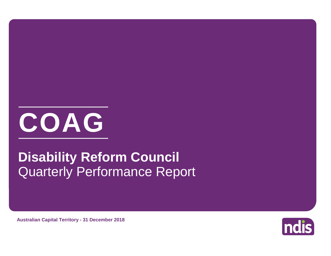

# Quarterly Performance Report **Disability Reform Council**

**Australian Capital Territory - 31 December 2018**

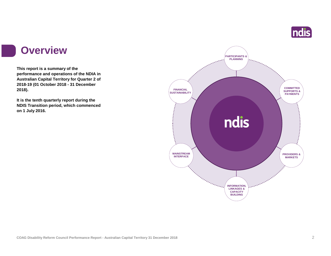

#### **Overview**

**This report is a summary of the performance and operations of the NDIA in Australian Capital Territory for Quarter 2 of 2018-19 (01 October 2018 - 31 December 2018).**

**It is the tenth quarterly report during the NDIS Transition period, which commenced on 1 July 2016.** 

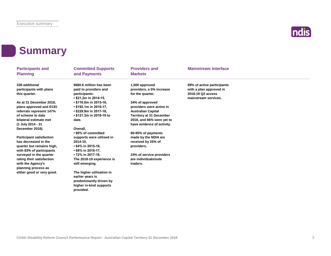

### **Summary**

| <b>Participants and</b><br><b>Planning</b> | <b>Committed Supports</b><br>and Payments | <b>Providers and</b><br><b>Markets</b> | <b>Mainstream Interface</b> |  |
|--------------------------------------------|-------------------------------------------|----------------------------------------|-----------------------------|--|
| 338 additional                             | \$680.6 million has been                  | 1,500 approved                         | 89% of active participants  |  |
| participants with plans                    | paid to providers and                     | providers, a 5% increase               | with a plan approved in     |  |
| this quarter.                              | participants:                             | for the quarter.                       | 2018-19 Q2 access           |  |
|                                            | • \$21.2m in 2014-15,                     |                                        | mainstream services.        |  |
| As at 31 December 2018.                    | • \$116.0m in 2015-16,                    | 34% of approved                        |                             |  |
| plans approved and ECEI                    | • \$192.1m in 2016-17,                    | providers were active in               |                             |  |
| referrals represent 147%                   | • \$229.9m in 2017-18,                    | <b>Australian Capital</b>              |                             |  |
| of scheme to date                          | • \$121.3m in 2018-19 to                  | <b>Territory at 31 December</b>        |                             |  |
| bilateral estimate met                     | date.                                     | 2018, and 66% were yet to              |                             |  |
| (1 July 2014 - 31                          |                                           | have evidence of activity.             |                             |  |
| December 2018).                            | Overall.                                  |                                        |                             |  |
|                                            | .80% of committed                         | 80-95% of payments                     |                             |  |
| <b>Participant satisfaction</b>            | supports were utilised in                 | made by the NDIA are                   |                             |  |
| has decreased in the                       | 2014-15,                                  | received by 25% of                     |                             |  |
| quarter but remains high,                  | • 84% in 2015-16,                         | providers.                             |                             |  |
| with 83% of participants                   | • 68% in 2016-17,                         |                                        |                             |  |
| surveyed in the quarter                    | • 72% in 2017-18.                         | 24% of service providers               |                             |  |
| rating their satisfaction                  | The 2018-19 experience is                 | are individuals/sole                   |                             |  |
| with the Agency's                          | still emerging.                           | traders.                               |                             |  |
| planning process as                        |                                           |                                        |                             |  |
| either good or very good.                  | The higher utilisation in                 |                                        |                             |  |
|                                            | earlier years is                          |                                        |                             |  |
|                                            | predominantly driven by                   |                                        |                             |  |
|                                            | higher in-kind supports                   |                                        |                             |  |
|                                            | provided.                                 |                                        |                             |  |
|                                            |                                           |                                        |                             |  |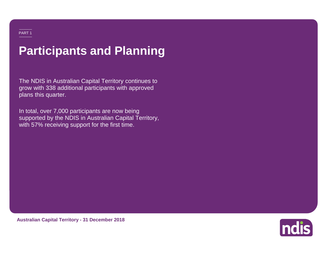# **Participants and Planning**

The NDIS in Australian Capital Territory continues to grow with 338 additional participants with approved plans this quarter.

In total, over 7,000 participants are now being supported by the NDIS in Australian Capital Territory, with 57% receiving support for the first time.



**Australian Capital Territory - 31 December 2018**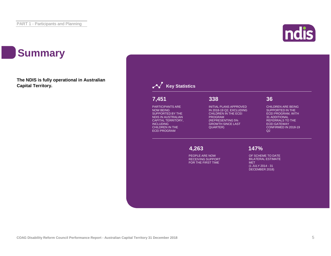### **Summary**

**The NDIS is fully operational in Australian Capital Territory.**



#### **Key Statistics**

#### PARTICIPANTS ARE **7,451 7,451 7,451**

 $NATOAPF$ PARTICIPANTS ARE<br>NOW REING NOW BEING<br>SUPPORTED BY THE SUPPORTED BY THE<br>NDIS IN AUSTRALIAN AUSTRALIAN<br>TERRITORY CAPITAL TERRITORY,<br>WGJ UPINO NOW BEING NOW BEING INCLUDING INCLUDING CHILDREN IN THE CHILDREN IN THE ECEI PROGRAM ECEI PROGRAM

**338 338**

INITIAL PLANS APPROVED IN 2018-19 Q2, EXCLUDING SUPP CHILDREN IN THE ECEI **EXERCITE SINCE A SINCE ECEI P** PROGRAM (REPRESENTING ) (REPRESENTING 5% GROWTH SINCE LAST QUARTER)

**338**

#### INITIAL PLANS APPROVED IN **36 36**

CHILDREN ARE BEING CHILDREN ARE BEING SUPPORTED IN THE SUPPORTED IN THE ECEI PROGRAM, WITH ECEI PROGRAM, WITH 31 ADDITIONAL 31 ADDITIONAL REFERRALS TO THE REFERRALS TO THE ECEI GATEWAY ECEI GATEWAY CONFIRMED IN 2018-19 CONFIRMED IN 2018-19 Q2 Q2

CHILDREN ARE BEING **4,263 147%**

SUPPORTED IN THE ECOPLE ARE NOW TO A RESIDENCE OF TRANSITION  $\mathcal{S}(\mathcal{S})$ PROGRAM, WITH 31 DATE BILATERAL RECEIVING SUPPORT ADDITIONAL REFERRALS ESTIMATE MET FOR THE FIRST TIME

BILATERAL ESTIMATE MET OF SCHEME TO DATE OF SCHEME TO DATE (1 JULY 2014 - 31 DECEMBER BILATERAL ESTIMATE BILATERAL ESTIMATE (1 JULY 2014 - 31 (1 JULY 2014 - 31 DECEMBER 2018) DECEMBER 2018) MET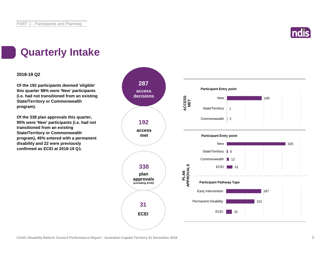

### **Quarterly Intake**

#### **2018-19 Q2**

**Of the 192 participants deemed 'eligible' this quarter 98% were 'New' participants (i.e. had not transitioned from an existing State/Territory or Commonwealth program).**

**Of the 338 plan approvals this quarter, 95% were 'New' participants (i.e. had not transitioned from an existing State/Territory or Commonwealth program), 45% entered with a permanent disability and 22 were previously confirmed as ECEI at 2018-19 Q1.**

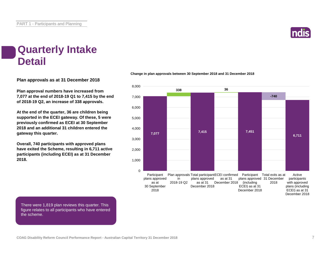

#### **Quarterly Intake Detail**

**Plan approvals as at 31 December 2018**

**Plan approval numbers have increased from 7,077 at the end of 2018-19 Q1 to 7,415 by the end of 2018-19 Q2, an increase of 338 approvals.**

**At the end of the quarter, 36 are children being supported in the ECEI gateway. Of these, 5 were previously confirmed as ECEI at 30 September 2018 and an additional 31 children entered the gateway this quarter.**

**Overall, 740 participants with approved plans have exited the Scheme, resulting in 6,711 active participants (including ECEI) as at 31 December 2018.**

#### **Change in plan approvals between 30 September 2018 and 31 December 2018**



December 2018

There were 1,819 plan reviews this quarter. This figure relates to all participants who have entered the scheme.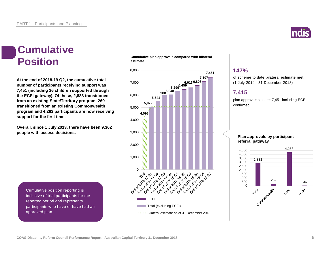#### **Cumulative Position**

**At the end of 2018-19 Q2, the cumulative total number of participants receiving support was 7,451 (including 36 children supported through the ECEI gateway). Of these, 2,883 transitioned from an existing State/Territory program, 269 transitioned from an existing Commonwealth program and 4,263 participants are now receiving support for the first time.**

**Overall, since 1 July 2013, there have been 9,362 people with access decisions.**

**Cumulative plan approvals compared with bilateral estimate**



#### **147%**

of scheme to date bilateral estimate met (1 July 2014 - 31 December 2018)

#### **7,415**

plan approvals to date; 7,451 including ECEI confirmed

#### **Plan approvals by participant referral pathway**



Cumulative position reporting is inclusive of trial participants for the reported period and represents participants who have or have had an approved plan.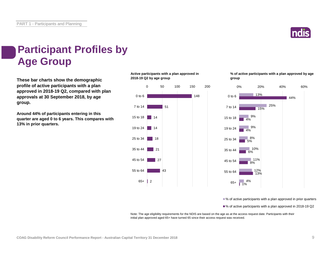PART 1 - Participants and Planning



### **Participant Profiles by Age Group**

**These bar charts show the demographic profile of active participants with a plan approved in 2018-19 Q2, compared with plan approvals at 30 September 2018, by age group.**

**Around 44% of participants entering in this quarter are aged 0 to 6 years. This compares with 13% in prior quarters.**

**Active participants with a plan approved in 2018-19 Q2 by age group**



**% of active participants with a plan approved by age group**



■% of active participants with a plan approved in prior quarters

■% of active participants with a plan approved in 2018-19 Q2

Note: The age eligibility requirements for the NDIS are based on the age as at the access request date. Participants with their initial plan approved aged 65+ have turned 65 since their access request was received.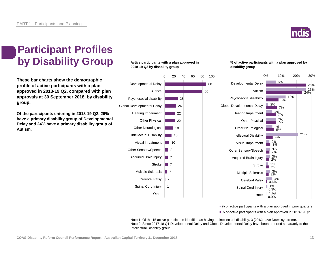

### **Participant Profiles by Disability Group**

**These bar charts show the demographic profile of active participants with a plan approved in 2018-19 Q2, compared with plan approvals at 30 September 2018, by disability group.**

**Of the participants entering in 2018-19 Q2, 26% have a primary disability group of Developmental Delay and 24% have a primary disability group of Autism.**

#### **Active participants with a plan approved in 2018-19 Q2 by disability group**



#### **% of active participants with a plan approved by disability group**



■% of active participants with a plan approved in prior quarters

■% of active participants with a plan approved in 2018-19 Q2

Note 1: Of the 15 active participants identified as having an intellectual disability, 3 (20%) have Down syndrome. Note 2: Since 2017-18 Q1 Developmental Delay and Global Developmental Delay have been reported separately to the Intellectual Disability group.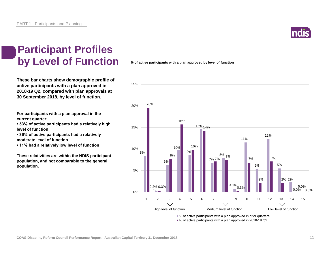

### **Participant Profiles by Level of Function**

**These bar charts show demographic profile of active participants with a plan approved in 2018-19 Q2, compared with plan approvals at 30 September 2018, by level of function.**

**For participants with a plan approval in the current quarter:** 

**• 53% of active participants had a relatively high level of function**

**• 36% of active participants had a relatively moderate level of function** 

**• 11% had a relatively low level of function**

**These relativities are within the NDIS participant population, and not comparable to the general population.**

**% of active participants with a plan approved by level of function**



■% of active participants with a plan approved in 2018-19 Q2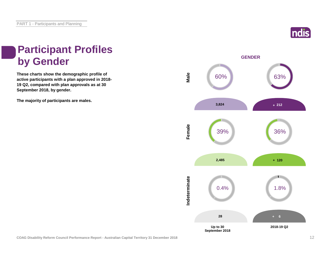

### **Participant Profiles by Gender**

**These charts show the demographic profile of active participants with a plan approved in 2018- 19 Q2, compared with plan approvals as at 30 September 2018, by gender.**

**The majority of participants are males.**

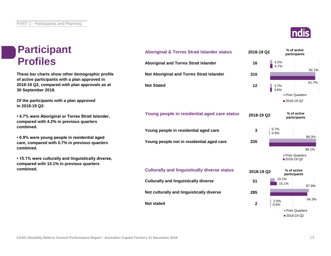#### **Participant Profiles**

**These bar charts show other demographic profile of active participants with a plan approved in 2018-19 Q2, compared with plan approvals as at 30 September 2018.**

**Of the participants with a plan approved in 2018-19 Q2:**

**• 4.7% were Aboriginal or Torres Strait Islander, compared with 4.2% in previous quarters combined.**

**• 0.9% were young people in residential aged care, compared with 0.7% in previous quarters combined.**

**• 15.1% were culturally and linguistically diverse, compared with 10.1% in previous quarters** 





**Culturally and linguistically diverse**

**Not culturally and linguistically diverse**

**Not stated**

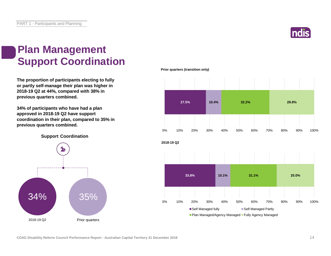

#### **Plan Management Support Coordination**

**The proportion of participants electing to fully or partly self-manage their plan was higher in 2018-19 Q2 at 44%, compared with 38% in previous quarters combined.**

**34% of participants who have had a plan approved in 2018-19 Q2 have support coordination in their plan, compared to 35% in previous quarters combined.**

**Support Coordination**



**Prior quarters (transition only)**

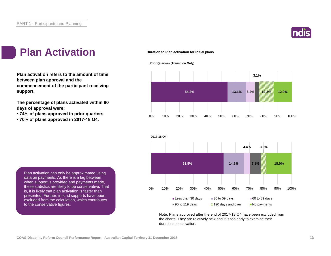

### Plan Activation **Duration to Plan activation for initial plans**

**Plan activation refers to the amount of time between plan approval and the commencement of the participant receiving support.**

**The percentage of plans activated within 90 days of approval were:** 

- **74% of plans approved in prior quarters**
- **70% of plans approved in 2017-18 Q4.**







Note: Plans approved after the end of 2017-18 Q4 have been excluded from the charts. They are relatively new and it is too early to examine their durations to activation.

Plan activation can only be approximated using data on payments. As there is a lag between when support is provided and payments made, these statistics are likely to be conservative. That is, it is likely that plan activation is faster than presented. Further, in-kind supports have been excluded from the calculation, which contributes to the conservative figures.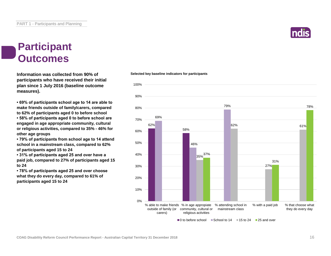

#### **Participant Outcomes**

**Information was collected from 90% of participants who have received their initial plan since 1 July 2016 (baseline outcome measures).**

**• 69% of participants school age to 14 are able to make friends outside of family/carers, compared to 62% of participants aged 0 to before school • 58% of participants aged 0 to before school are engaged in age appropriate community, cultural or religious activities, compared to 35% - 46% for other age groups**

**• 79% of participants from school age to 14 attend school in a mainstream class, compared to 62% of participants aged 15 to 24**

**• 31% of participants aged 25 and over have a paid job, compared to 27% of participants aged 15 to 24**

**• 78% of participants aged 25 and over choose what they do every day, compared to 61% of participants aged 15 to 24**

#### **Selected key baseline indicators for participants**

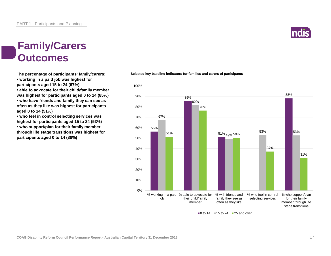#### **Family/Carers Outcomes**

**The percentage of participants' family/carers: • working in a paid job was highest for participants aged 15 to 24 (67%)**

**• able to advocate for their child/family member was highest for participants aged 0 to 14 (85%) • who have friends and family they can see as often as they like was highest for participants aged 0 to 14 (51%)**

**• who feel in control selecting services was highest for participants aged 15 to 24 (53%) • who support/plan for their family member through life stage transitions was highest for participants aged 0 to 14 (88%)**

#### **Selected key baseline indicators for families and carers of participants**



 $\blacksquare$  0 to 14  $\blacksquare$  15 to 24  $\blacksquare$  25 and over

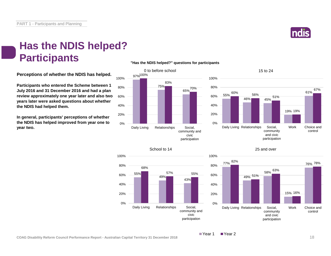

#### **Has the NDIS helped? Participants**

**Perceptions of whether the NDIS has helped.**

**Participants who entered the Scheme between 1 July 2016 and 31 December 2016 and had a plan review approximately one year later and also two years later were asked questions about whether the NDIS had helped them.**

**In general, participants' perceptions of whether the NDIS has helped improved from year one to year two.**















 $\blacksquare$  Year 2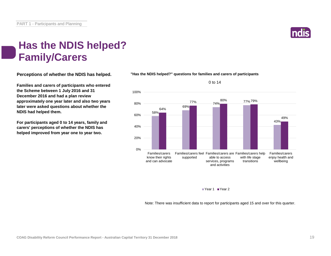

#### **Has the NDIS helped? Family/Carers**

**Perceptions of whether the NDIS has helped.**

**Families and carers of participants who entered the Scheme between 1 July 2016 and 31 December 2016 and had a plan review approximately one year later and also two years later were asked questions about whether the NDIS had helped them.**

**For participants aged 0 to 14 years, family and carers' perceptions of whether the NDIS has helped improved from year one to year two.**





Year 1 Year 2

Note: There was insufficient data to report for participants aged 15 and over for this quarter.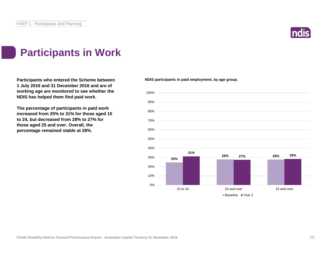

### **Participants in Work**

**Participants who entered the Scheme between 1 July 2016 and 31 December 2016 and are of working age are monitored to see whether the NDIS has helped them find paid work.**

**The percentage of participants in paid work increased from 25% to 31% for those aged 15 to 24, but decreased from 28% to 27% for those aged 25 and over. Overall, the percentage remained stable at 28%.**

**NDIS participants in paid employment, by age group.**

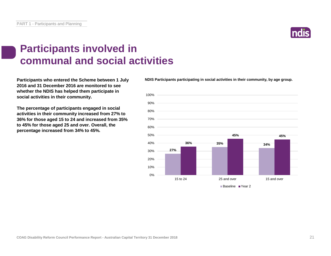### **Participants involved in communal and social activities**

**Participants who entered the Scheme between 1 July 2016 and 31 December 2016 are monitored to see whether the NDIS has helped them participate in social activities in their community.**

**The percentage of participants engaged in social activities in their community increased from 27% to 36% for those aged 15 to 24 and increased from 35% to 45% for those aged 25 and over. Overall, the percentage increased from 34% to 45%.**

**NDIS Participants participating in social activities in their community, by age group.**



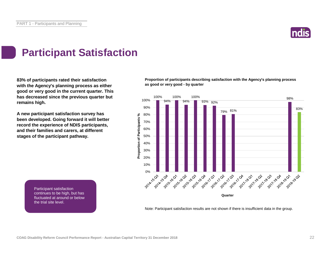

### **Participant Satisfaction**

**83% of participants rated their satisfaction with the Agency's planning process as either good or very good in the current quarter. This has decreased since the previous quarter but remains high.** 

**A new participant satisfaction survey has been developed. Going forward it will better record the experience of NDIS participants, and their families and carers, at different stages of the participant pathway.**

> Participant satisfaction continues to be high, but has fluctuated at around or below

the trial site level.

**Proportion of participants describing satisfaction with the Agency's planning process as good or very good - by quarter**



Note: Participant satisfaction results are not shown if there is insufficient data in the group.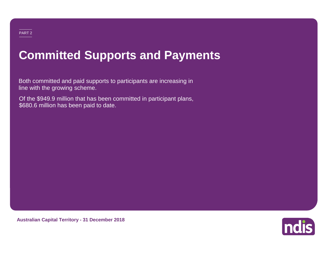# **Committed Supports and Payments**

Both committed and paid supports to participants are increasing in line with the growing scheme.

Of the \$949.9 million that has been committed in participant plans, \$680.6 million has been paid to date.

**Australian Capital Territory - 31 December 2018**

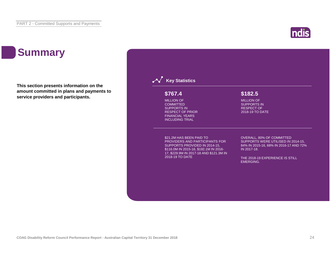### **Summary**

**This section presents information on the amount committed in plans and payments to service providers and participants.**

#### **Key Statistics** \$21.2M HAS BEEN PAID TO PROVIDERS AND PARTICIPANTS FOR SUPPORTS PROVIDED IN 2014-15, \$116.0M IN 2015-16, \$192.1M IN 2016- 17, \$229.9M IN 2017-18 AND \$121.3M IN 2018-19 TO DATE OVERALL, 80% OF COMMITTED SUPPORTS WERE UTILISED IN 2014-15, 84% IN 2015-16, 68% IN 2016-17 AND 72% IN 2017-18. THE 2018-19 EXPERIENCE IS STILL EMERGING. MILLION OF **COMMITTED** SUPPORTS IN RESPECT OF PRIOR FINANCIAL YEARS INCLUDING TRIAL **\$767.4** MILLION OF SUPPORTS IN RESPECT OF 2018-19 TO DATE **\$182.5**

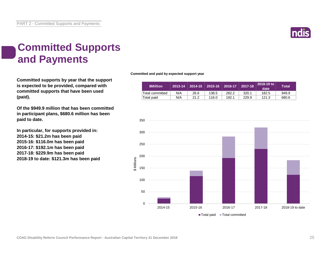

### **Committed Supports and Payments**

**Committed supports by year that the support is expected to be provided, compared with committed supports that have been used (paid).**

**Of the \$949.9 million that has been committed in participant plans, \$680.6 million has been paid to date.**

**In particular, for supports provided in: 2014-15: \$21.2m has been paid 2015-16: \$116.0m has been paid 2016-17: \$192.1m has been paid 2017-18: \$229.9m has been paid 2018-19 to date: \$121.3m has been paid** **Committed and paid by expected support year**

| <b>SMillion</b> | 2013-14 |      | 2014-15   2015-16 | 2016-17 | 2017-18 | 2018-19 to<br>date | <b>Total</b> |
|-----------------|---------|------|-------------------|---------|---------|--------------------|--------------|
| Total committed | N/A     | 26.6 | 138.5             | 282.2   | 320.1   | 182.5              | 949.9        |
| Total paid      | N/A     | 21.2 | 116.0             | 192.1   | 229.9   | 121.3              | 680.6        |

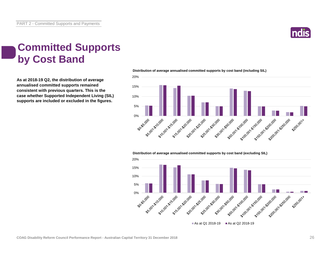

#### **Committed Supports by Cost Band**

**As at 2018-19 Q2, the distribution of average annualised committed supports remained consistent with previous quarters. This is the case whether Supported Independent Living (SIL) supports are included or excluded in the figures.**



**Distribution of average annualised committed supports by cost band (including SIL)** 

**Distribution of average annualised committed supports by cost band (excluding SIL)** 

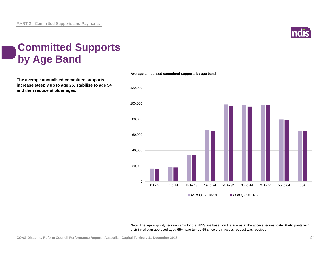

### **Committed Supports by Age Band**

**The average annualised committed supports increase steeply up to age 25, stabilise to age 54 and then reduce at older ages.**



**Average annualised committed supports by age band**

Note: The age eligibility requirements for the NDIS are based on the age as at the access request date. Participants with their initial plan approved aged 65+ have turned 65 since their access request was received.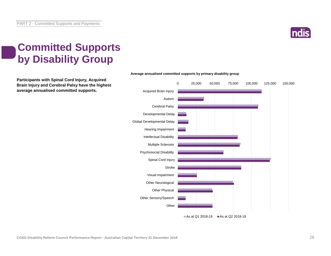

### **Committed Supports by Disability Group**

**Participants with Spinal Cord Injury, Acquired Brain Injury and Cerebral Palsy have the highest average annualised committed supports.**



#### **Average annualised committed supports by primary disability group**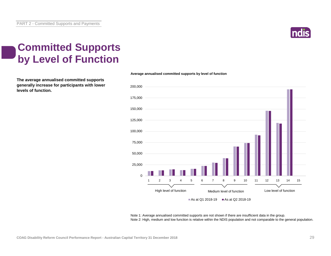

### **Committed Supports by Level of Function**

**The average annualised committed supports generally increase for participants with lower levels of function.**



**Average annualised committed supports by level of function**

Note 1: Average annualised committed supports are not shown if there are insufficient data in the group. Note 2: High, medium and low function is relative within the NDIS population and not comparable to the general population.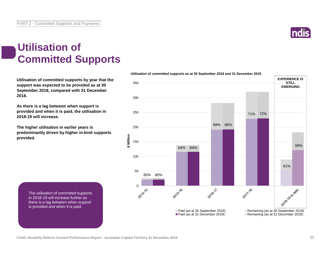

#### **Utilisation of Committed Supports**

**Utilisation of committed supports by year that the support was expected to be provided as at 30 September 2018, compared with 31 December 2018.** 

**As there is a lag between when support is provided and when it is paid, the utilisation in 2018-19 will increase.**

**The higher utilisation in earlier years is predominantly driven by higher in-kind supports provided.**

> The utilisation of committed supports in 2018-19 will increase further as there is a lag between when support is provided and when it is paid.



**Utilisation of committed supports as at 30 September 2018 and 31 December 2018**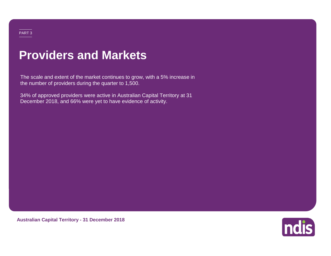### **Providers and Markets**

The scale and extent of the market continues to grow, with a 5% increase in the number of providers during the quarter to 1,500.

34% of approved providers were active in Australian Capital Territory at 31 December 2018, and 66% were yet to have evidence of activity.

**Australian Capital Territory - 31 December 2018**

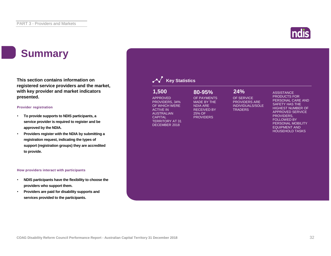### **Summary**

**This section contains information on registered service providers and the market, with key provider and market indicators presented.**

#### **Provider registration**

- **To provide supports to NDIS participants, a service provider is required to register and be approved by the NDIA.**
- **Providers register with the NDIA by submitting a registration request, indicating the types of support (registration groups) they are accredited to provide.**

#### **How providers interact with participants**

- **NDIS participants have the flexibility to choose the providers who support them.**
- **Providers are paid for disability supports and services provided to the participants.**

#### **Key Statistics** OF SERVICE PROVIDERS ARE INDIVIDUALS/SOLE **TRADERS ASSISTANCE** PRODUCTS FOR PERSONAL CARE AND SAFETY HAS THE HIGHEST NUMBER OF APPROVED SERVICE PROVIDERS, FOLLOWED BY PERSONAL MOBILITY EQUIPMENT AND HOUSEHOLD TASKS APPROVED PROVIDERS, 34% OF WHICH WERE ACTIVE IN AUSTRALIAN **CAPITAL** TERRITORY AT 31 DECEMBER 2018 OF PAYMENTS MADE BY THE NDIA ARE RECEIVED BY 25% OF **PROVIDERS 1,500 80-95% 24%**

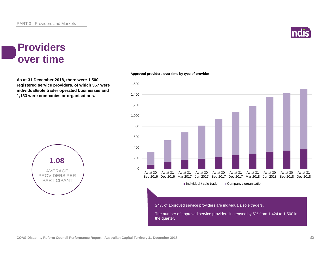#### **Providers over time**

**As at 31 December 2018, there were 1,500 registered service providers, of which 367 were individual/sole trader operated businesses and 1,133 were companies or organisations.**



#### **Approved providers over time by type of provider**



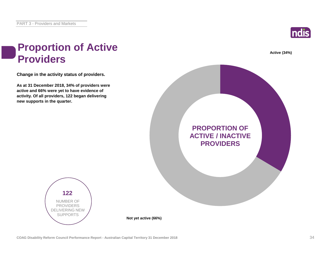

# **Active (34%) PROPORTION OF ACTIVE / INACTIVE PROVIDERS**

#### **Proportion of Active Providers**

**Change in the activity status of providers.**

**As at 31 December 2018, 34% of providers were active and 66% were yet to have evidence of activity. Of all providers, 122 began delivering new supports in the quarter.**

> **122** NUMBER OF PROVIDERS DELIVERING NEW SUPPORTS

**Not yet active (66%)**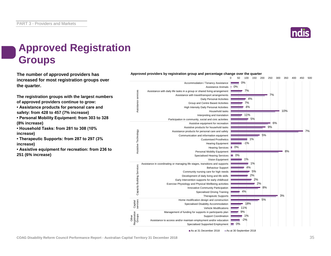

0 50 100 150 200 250 300 350 400 450 500

### **Approved Registration Groups**

**The number of approved providers has** *Approved providers by registration group and percentage change over the quarter***<br>
<b>1992** 100 150 200 **increased for most registration groups over the quarter.**

**The registration groups with the largest numbers of approved providers continue to grow:**

**• Assistance products for personal care and safety: from 428 to 457 (7% increase)**

**• Personal Mobility Equipment: from 303 to 328 (8% increase)**

**• Household Tasks: from 281 to 308 (10% increase)**

**• Therapeutic Supports: from 287 to 297 (3% increase)**

**• Assistive equipment for recreation: from 236 to 251 (6% increase)**



As at 31 December 2018 As at 30 September 2018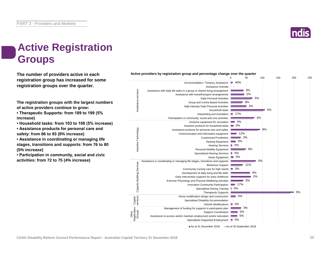

0 50 100 150 200 250

### **Active Registration Groups**

**The number of providers active in each registration group has increased for some registration groups over the quarter.**

**The registration groups with the largest numbers of active providers continue to grow:**

**• Therapeutic Supports: from 189 to 199 (5% increase)**

**• Household tasks: from 103 to 108 (5% increase)**

**• Assistance products for personal care and safety: from 86 to 93 (8% increase)**

**• Assistance in coordinating or managing life stages, transitions and supports: from 76 to 80 (5% increase)**

**• Participation in community, social and civic activities: from 72 to 75 (4% increase)**



**Active providers by registration group and percentage change over the quarter**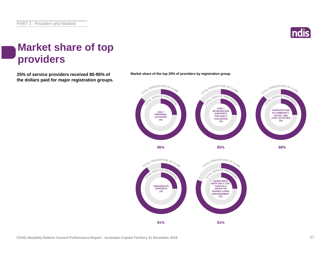

#### **Market share of top providers**

**25% of service providers received 80-95% of Market share of the top 25% of providers by registration group. the dollars paid for major registration groups.**



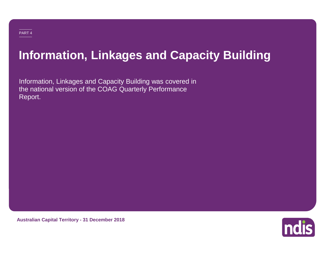### **Information, Linkages and Capacity Building**

Information, Linkages and Capacity Building was covered in the national version of the COAG Quarterly Performance Report.

**Australian Capital Territory - 31 December 2018**

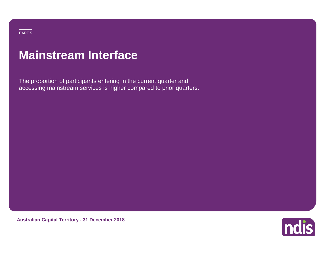### **Mainstream Interface**

The proportion of participants entering in the current quarter and accessing mainstream services is higher compared to prior quarters.

**Australian Capital Territory - 31 December 2018**

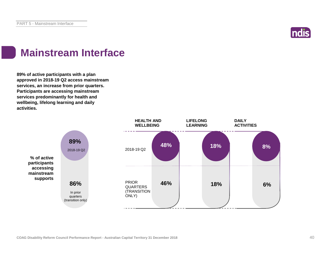

### **Mainstream Interface**

**89% of active participants with a plan approved in 2018-19 Q2 access mainstream services, an increase from prior quarters. Participants are accessing mainstream services predominantly for health and wellbeing, lifelong learning and daily activities.**